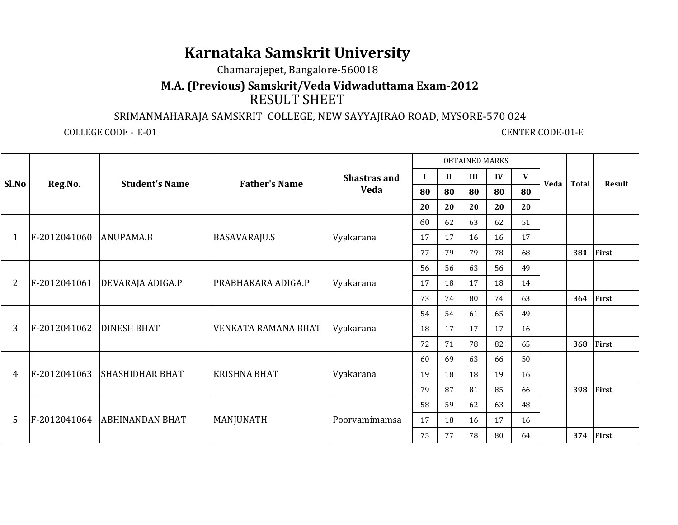## **Karnataka Samskrit University**

Chamarajepet, Bangalore-560018

## **M.A. (Previous) Samskrit/Veda Vidwaduttama Exam-2012**RESULT SHEET

## SRIMANMAHARAJA SAMSKRIT COLLEGE, NEW SAYYAJIRAO ROAD, MYSORE-570 024

COLLEGE CODE - E-01

**CENTER CODE-01-E** 

|                |              |                              |                      |                     |          |              | <b>OBTAINED MARKS</b> |    |    |      |              |               |
|----------------|--------------|------------------------------|----------------------|---------------------|----------|--------------|-----------------------|----|----|------|--------------|---------------|
| Sl.No          |              | <b>Student's Name</b>        | <b>Father's Name</b> | <b>Shastras and</b> | $\bf{I}$ | $\mathbf{I}$ | III                   | IV | V  | Veda | <b>Total</b> | <b>Result</b> |
|                | Reg.No.      |                              |                      | <b>Veda</b>         | 80       | 80           | 80                    | 80 | 80 |      |              |               |
|                |              |                              |                      |                     | 20       | 20           | 20                    | 20 | 20 |      |              |               |
|                |              |                              |                      |                     | 60       | 62           | 63                    | 62 | 51 |      |              |               |
| 1              | F-2012041060 | ANUPAMA.B                    | <b>BASAVARAJU.S</b>  | Vyakarana           | 17       | 17           | 16                    | 16 | 17 |      |              |               |
|                |              |                              |                      |                     | 77       | 79           | 79                    | 78 | 68 |      | 381          | First         |
|                |              |                              |                      |                     | 56       | 56           | 63                    | 56 | 49 |      |              |               |
| $\overline{2}$ | F-2012041061 | <b>DEVARAJA ADIGA.P</b>      | PRABHAKARA ADIGA.P   | Vyakarana           | 17       | 18           | 17                    | 18 | 14 |      |              |               |
|                |              |                              |                      |                     | 73       | 74           | 80                    | 74 | 63 |      | 364          | <b>First</b>  |
|                |              |                              |                      |                     | 54       | 54           | 61                    | 65 | 49 |      |              |               |
| 3              | F-2012041062 | <b>DINESH BHAT</b>           | VENKATA RAMANA BHAT  | Vyakarana           | 18       | 17           | 17                    | 17 | 16 |      |              |               |
|                |              |                              |                      |                     | 72       | 71           | 78                    | 82 | 65 |      | 368          | <b>First</b>  |
|                |              |                              |                      |                     | 60       | 69           | 63                    | 66 | 50 |      |              |               |
| 4              | F-2012041063 | <b>SHASHIDHAR BHAT</b>       | <b>KRISHNA BHAT</b>  | Vyakarana           | 19       | 18           | 18                    | 19 | 16 |      |              |               |
|                |              |                              |                      |                     | 79       | 87           | 81                    | 85 | 66 |      | 398          | First         |
|                |              |                              |                      |                     | 58       | 59           | 62                    | 63 | 48 |      |              |               |
| 5              |              | F-2012041064 ABHINANDAN BHAT | MANJUNATH            | Poorvamimamsa       | 17       | 18           | 16                    | 17 | 16 |      |              |               |
|                |              |                              |                      |                     | 75       | 77           | 78                    | 80 | 64 |      | 374          | First         |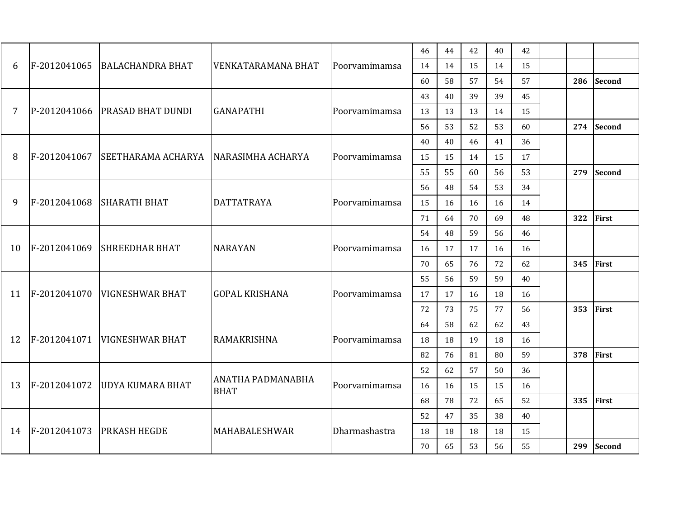|                |              |                                |                           |               | 46 | 44 | 42 | 40 | 42 |           |               |
|----------------|--------------|--------------------------------|---------------------------|---------------|----|----|----|----|----|-----------|---------------|
| 6              | F-2012041065 | <b>BALACHANDRA BHAT</b>        | <b>VENKATARAMANA BHAT</b> | Poorvamimamsa | 14 | 14 | 15 | 14 | 15 |           |               |
|                |              |                                |                           |               | 60 | 58 | 57 | 54 | 57 | 286       | <b>Second</b> |
|                |              |                                |                           |               | 43 | 40 | 39 | 39 | 45 |           |               |
| $\overline{7}$ |              | P-2012041066 PRASAD BHAT DUNDI | <b>GANAPATHI</b>          | Poorvamimamsa | 13 | 13 | 13 | 14 | 15 |           |               |
|                |              |                                |                           |               | 56 | 53 | 52 | 53 | 60 | 274       | <b>Second</b> |
|                |              |                                |                           |               | 40 | 40 | 46 | 41 | 36 |           |               |
| 8              | F-2012041067 | SEETHARAMA ACHARYA             | NARASIMHA ACHARYA         | Poorvamimamsa | 15 | 15 | 14 | 15 | 17 |           |               |
|                |              |                                |                           |               | 55 | 55 | 60 | 56 | 53 | 279       | <b>Second</b> |
|                |              |                                |                           |               | 56 | 48 | 54 | 53 | 34 |           |               |
| 9              | F-2012041068 | <b>SHARATH BHAT</b>            | <b>DATTATRAYA</b>         | Poorvamimamsa | 15 | 16 | 16 | 16 | 14 |           |               |
|                |              |                                |                           |               | 71 | 64 | 70 | 69 | 48 | 322       | First         |
|                |              |                                |                           |               | 54 | 48 | 59 | 56 | 46 |           |               |
| 10             | F-2012041069 | <b>SHREEDHAR BHAT</b>          | <b>NARAYAN</b>            | Poorvamimamsa | 16 | 17 | 17 | 16 | 16 |           |               |
|                |              |                                |                           |               | 70 | 65 | 76 | 72 | 62 | 345       | <b>First</b>  |
|                |              |                                |                           |               | 55 | 56 | 59 | 59 | 40 |           |               |
| 11             |              | F-2012041070 VIGNESHWAR BHAT   | <b>GOPAL KRISHANA</b>     | Poorvamimamsa | 17 | 17 | 16 | 18 | 16 |           |               |
|                |              |                                |                           |               | 72 | 73 | 75 | 77 | 56 | 353       | First         |
|                |              |                                |                           |               | 64 | 58 | 62 | 62 | 43 |           |               |
| 12             |              | F-2012041071 VIGNESHWAR BHAT   | <b>RAMAKRISHNA</b>        | Poorvamimamsa | 18 | 18 | 19 | 18 | 16 |           |               |
|                |              |                                |                           |               | 82 | 76 | 81 | 80 | 59 | 378 First |               |
|                |              |                                | <b>ANATHA PADMANABHA</b>  |               | 52 | 62 | 57 | 50 | 36 |           |               |
| 13             | F-2012041072 | <b>UDYA KUMARA BHAT</b>        | <b>BHAT</b>               | Poorvamimamsa | 16 | 16 | 15 | 15 | 16 |           |               |
|                |              |                                |                           |               | 68 | 78 | 72 | 65 | 52 | 335       | First         |
|                |              |                                |                           |               | 52 | 47 | 35 | 38 | 40 |           |               |
| 14             | F-2012041073 | <b>PRKASH HEGDE</b>            | MAHABALESHWAR             | Dharmashastra | 18 | 18 | 18 | 18 | 15 |           |               |
|                |              |                                |                           |               | 70 | 65 | 53 | 56 | 55 | 299       | <b>Second</b> |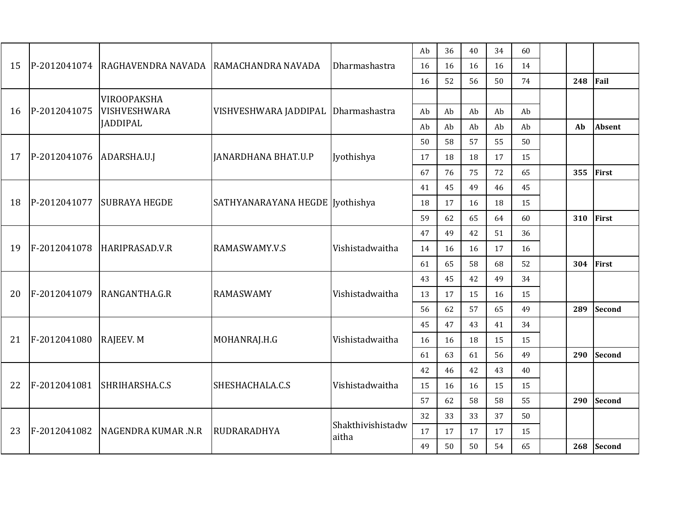|    |              |                                       |                                 |                   | Ab | 36 | 40 | 34 | 60 |     |               |
|----|--------------|---------------------------------------|---------------------------------|-------------------|----|----|----|----|----|-----|---------------|
| 15 | P-2012041074 | RAGHAVENDRA NAVADA RAMACHANDRA NAVADA |                                 | Dharmashastra     | 16 | 16 | 16 | 16 | 14 |     |               |
|    |              |                                       |                                 |                   | 16 | 52 | 56 | 50 | 74 | 248 | Fail          |
|    |              | VIROOPAKSHA                           |                                 |                   |    |    |    |    |    |     |               |
| 16 | P-2012041075 | VISHVESHWARA                          | VISHVESHWARA JADDIPAL           | Dharmashastra     | Ab | Ab | Ab | Ab | Ab |     |               |
|    |              | <b>JADDIPAL</b>                       |                                 |                   | Ab | Ab | Ab | Ab | Ab | Ab  | <b>Absent</b> |
|    |              |                                       |                                 |                   | 50 | 58 | 57 | 55 | 50 |     |               |
| 17 | P-2012041076 | ADARSHA.U.J                           | <b>JANARDHANA BHAT.U.P</b>      | Jyothishya        | 17 | 18 | 18 | 17 | 15 |     |               |
|    |              |                                       |                                 |                   | 67 | 76 | 75 | 72 | 65 | 355 | First         |
|    |              |                                       |                                 |                   | 41 | 45 | 49 | 46 | 45 |     |               |
| 18 | P-2012041077 | <b>SUBRAYA HEGDE</b>                  | SATHYANARAYANA HEGDE Jyothishya |                   | 18 | 17 | 16 | 18 | 15 |     |               |
|    |              |                                       |                                 |                   | 59 | 62 | 65 | 64 | 60 | 310 | First         |
|    |              |                                       |                                 |                   | 47 | 49 | 42 | 51 | 36 |     |               |
| 19 | F-2012041078 | HARIPRASAD.V.R                        | RAMASWAMY.V.S                   | Vishistadwaitha   | 14 | 16 | 16 | 17 | 16 |     |               |
|    |              |                                       |                                 |                   | 61 | 65 | 58 | 68 | 52 | 304 | First         |
|    |              |                                       |                                 |                   | 43 | 45 | 42 | 49 | 34 |     |               |
| 20 | F-2012041079 | RANGANTHA.G.R                         | <b>RAMASWAMY</b>                | Vishistadwaitha   | 13 | 17 | 15 | 16 | 15 |     |               |
|    |              |                                       |                                 |                   | 56 | 62 | 57 | 65 | 49 | 289 | <b>Second</b> |
|    |              |                                       |                                 |                   | 45 | 47 | 43 | 41 | 34 |     |               |
| 21 | F-2012041080 | RAJEEV. M                             | MOHANRAJ.H.G                    | Vishistadwaitha   | 16 | 16 | 18 | 15 | 15 |     |               |
|    |              |                                       |                                 |                   | 61 | 63 | 61 | 56 | 49 | 290 | <b>Second</b> |
|    |              |                                       |                                 |                   | 42 | 46 | 42 | 43 | 40 |     |               |
| 22 | F-2012041081 | SHRIHARSHA.C.S                        | SHESHACHALA.C.S                 | Vishistadwaitha   | 15 | 16 | 16 | 15 | 15 |     |               |
|    |              |                                       |                                 |                   | 57 | 62 | 58 | 58 | 55 | 290 | <b>Second</b> |
|    |              |                                       |                                 | Shakthivishistadw | 32 | 33 | 33 | 37 | 50 |     |               |
| 23 | F-2012041082 | <b>NAGENDRA KUMAR .N.R</b>            | RUDRARADHYA                     | aitha             | 17 | 17 | 17 | 17 | 15 |     |               |
|    |              |                                       |                                 |                   | 49 | 50 | 50 | 54 | 65 | 268 | <b>Second</b> |